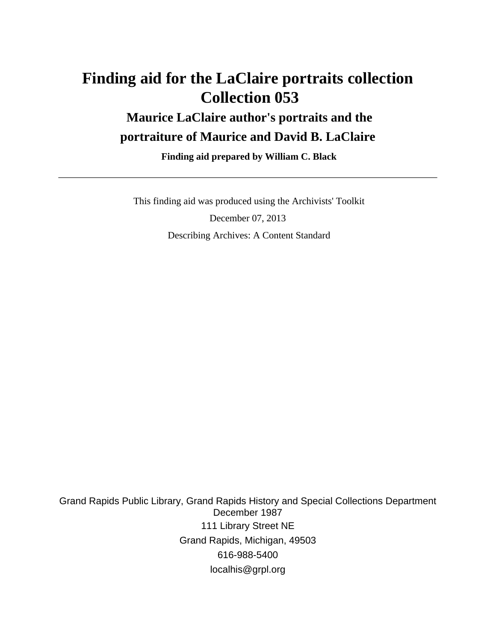# **Finding aid for the LaClaire portraits collection Collection 053**

## **Maurice LaClaire author's portraits and the portraiture of Maurice and David B. LaClaire**

 **Finding aid prepared by William C. Black**

 This finding aid was produced using the Archivists' Toolkit December 07, 2013 Describing Archives: A Content Standard

Grand Rapids Public Library, Grand Rapids History and Special Collections Department December 1987 111 Library Street NE Grand Rapids, Michigan, 49503 616-988-5400 localhis@grpl.org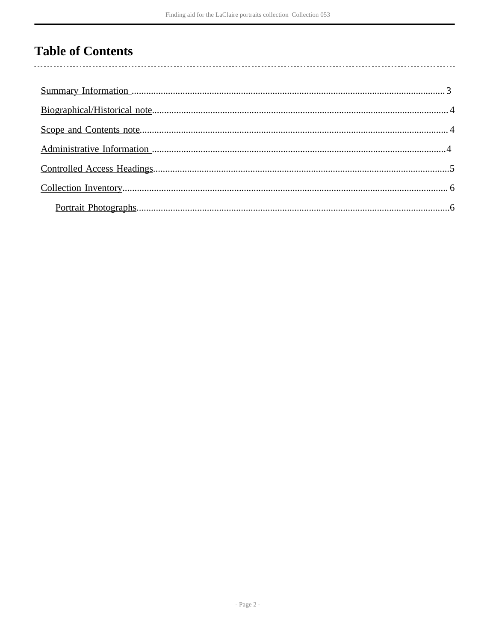## **Table of Contents**

 $\overline{\phantom{a}}$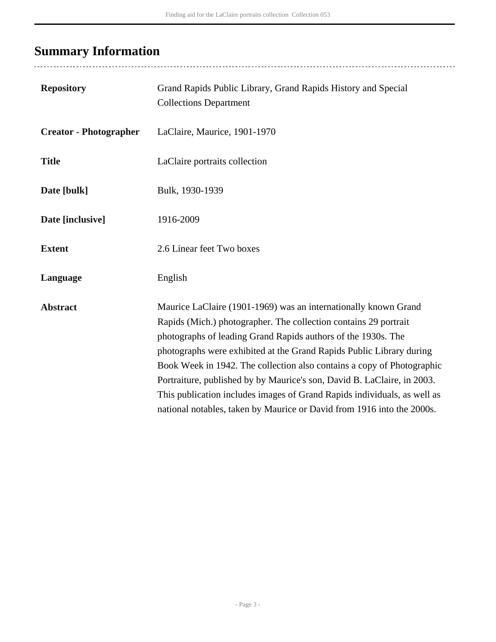# <span id="page-2-0"></span>**Summary Information**

| <b>Repository</b>             | Grand Rapids Public Library, Grand Rapids History and Special<br><b>Collections Department</b>                                                                                                                                                                                                                                                                                                                                                                                                                                                                                          |
|-------------------------------|-----------------------------------------------------------------------------------------------------------------------------------------------------------------------------------------------------------------------------------------------------------------------------------------------------------------------------------------------------------------------------------------------------------------------------------------------------------------------------------------------------------------------------------------------------------------------------------------|
| <b>Creator - Photographer</b> | LaClaire, Maurice, 1901-1970                                                                                                                                                                                                                                                                                                                                                                                                                                                                                                                                                            |
| <b>Title</b>                  | LaClaire portraits collection                                                                                                                                                                                                                                                                                                                                                                                                                                                                                                                                                           |
| Date [bulk]                   | Bulk, 1930-1939                                                                                                                                                                                                                                                                                                                                                                                                                                                                                                                                                                         |
| Date [inclusive]              | 1916-2009                                                                                                                                                                                                                                                                                                                                                                                                                                                                                                                                                                               |
| <b>Extent</b>                 | 2.6 Linear feet Two boxes                                                                                                                                                                                                                                                                                                                                                                                                                                                                                                                                                               |
| Language                      | English                                                                                                                                                                                                                                                                                                                                                                                                                                                                                                                                                                                 |
| <b>Abstract</b>               | Maurice LaClaire (1901-1969) was an internationally known Grand<br>Rapids (Mich.) photographer. The collection contains 29 portrait<br>photographs of leading Grand Rapids authors of the 1930s. The<br>photographs were exhibited at the Grand Rapids Public Library during<br>Book Week in 1942. The collection also contains a copy of Photographic<br>Portraiture, published by by Maurice's son, David B. LaClaire, in 2003.<br>This publication includes images of Grand Rapids individuals, as well as<br>national notables, taken by Maurice or David from 1916 into the 2000s. |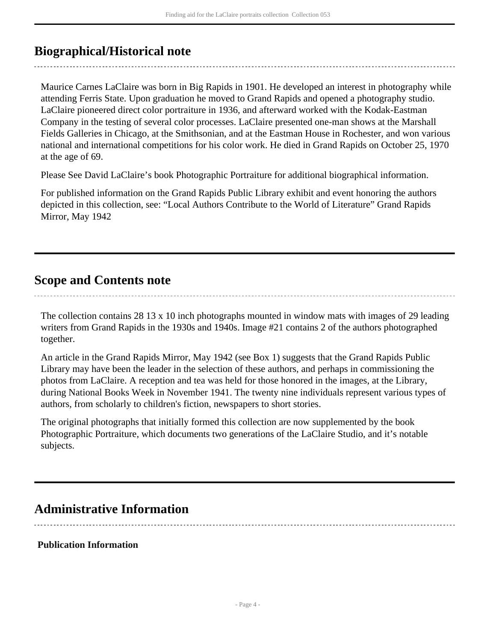### <span id="page-3-0"></span>**Biographical/Historical note**

Maurice Carnes LaClaire was born in Big Rapids in 1901. He developed an interest in photography while attending Ferris State. Upon graduation he moved to Grand Rapids and opened a photography studio. LaClaire pioneered direct color portraiture in 1936, and afterward worked with the Kodak-Eastman Company in the testing of several color processes. LaClaire presented one-man shows at the Marshall Fields Galleries in Chicago, at the Smithsonian, and at the Eastman House in Rochester, and won various national and international competitions for his color work. He died in Grand Rapids on October 25, 1970 at the age of 69.

Please See David LaClaire's book Photographic Portraiture for additional biographical information.

For published information on the Grand Rapids Public Library exhibit and event honoring the authors depicted in this collection, see: "Local Authors Contribute to the World of Literature" Grand Rapids Mirror, May 1942

### <span id="page-3-1"></span>**Scope and Contents note**

The collection contains 28 13 x 10 inch photographs mounted in window mats with images of 29 leading writers from Grand Rapids in the 1930s and 1940s. Image #21 contains 2 of the authors photographed together.

An article in the Grand Rapids Mirror, May 1942 (see Box 1) suggests that the Grand Rapids Public Library may have been the leader in the selection of these authors, and perhaps in commissioning the photos from LaClaire. A reception and tea was held for those honored in the images, at the Library, during National Books Week in November 1941. The twenty nine individuals represent various types of authors, from scholarly to children's fiction, newspapers to short stories.

The original photographs that initially formed this collection are now supplemented by the book Photographic Portraiture, which documents two generations of the LaClaire Studio, and it's notable subjects.

### <span id="page-3-2"></span>**Administrative Information**

#### **Publication Information**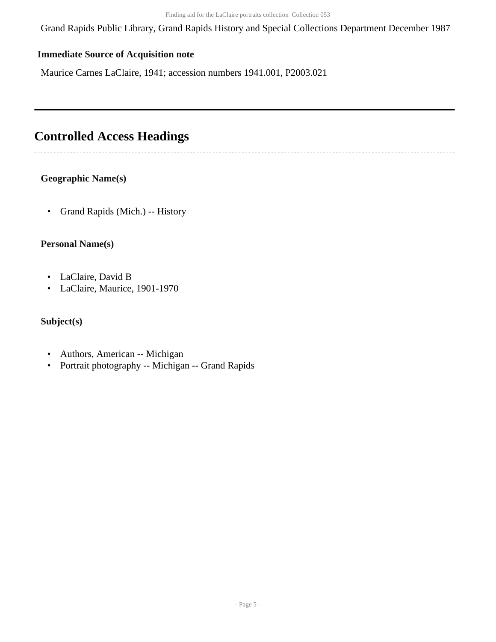Grand Rapids Public Library, Grand Rapids History and Special Collections Department December 1987

#### **Immediate Source of Acquisition note**

Maurice Carnes LaClaire, 1941; accession numbers 1941.001, P2003.021

### <span id="page-4-0"></span>**Controlled Access Headings**

 $\sim$ 

### **Geographic Name(s)**

• Grand Rapids (Mich.) -- History

#### **Personal Name(s)**

- LaClaire, David B
- LaClaire, Maurice, 1901-1970

#### **Subject(s)**

- Authors, American -- Michigan
- Portrait photography -- Michigan -- Grand Rapids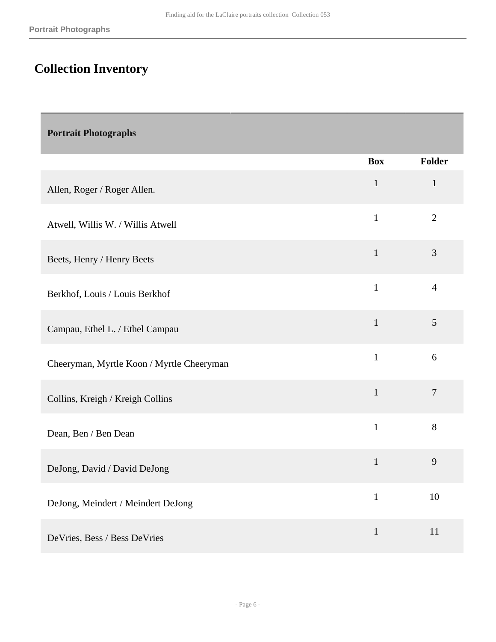# <span id="page-5-0"></span>**Collection Inventory**

<span id="page-5-1"></span>

| <b>Portrait Photographs</b> |  |
|-----------------------------|--|
|-----------------------------|--|

|                                           | <b>Box</b>   | <b>Folder</b>  |
|-------------------------------------------|--------------|----------------|
| Allen, Roger / Roger Allen.               | $\mathbf{1}$ | $\mathbf{1}$   |
| Atwell, Willis W. / Willis Atwell         | $\mathbf{1}$ | $\overline{2}$ |
| Beets, Henry / Henry Beets                | $\mathbf{1}$ | 3              |
| Berkhof, Louis / Louis Berkhof            | $\mathbf{1}$ | $\overline{4}$ |
| Campau, Ethel L. / Ethel Campau           | $\mathbf{1}$ | 5              |
| Cheeryman, Myrtle Koon / Myrtle Cheeryman | $\mathbf{1}$ | 6              |
| Collins, Kreigh / Kreigh Collins          | $\mathbf{1}$ | $\overline{7}$ |
| Dean, Ben / Ben Dean                      | $\mathbf{1}$ | 8              |
| DeJong, David / David DeJong              | $\mathbf{1}$ | 9              |
| DeJong, Meindert / Meindert DeJong        | $\mathbf{1}$ | 10             |
| DeVries, Bess / Bess DeVries              | $\mathbf{1}$ | 11             |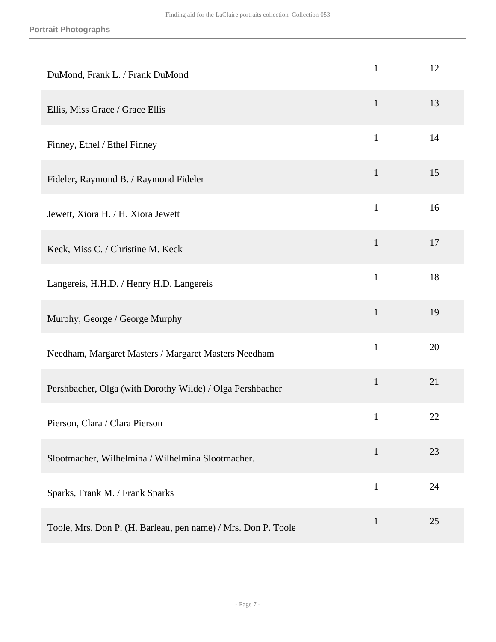| DuMond, Frank L. / Frank DuMond                               | $\mathbf{1}$ | 12 |
|---------------------------------------------------------------|--------------|----|
| Ellis, Miss Grace / Grace Ellis                               | $\mathbf{1}$ | 13 |
| Finney, Ethel / Ethel Finney                                  | $\mathbf{1}$ | 14 |
| Fideler, Raymond B. / Raymond Fideler                         | $\mathbf{1}$ | 15 |
| Jewett, Xiora H. / H. Xiora Jewett                            | $\mathbf{1}$ | 16 |
| Keck, Miss C. / Christine M. Keck                             | $\mathbf{1}$ | 17 |
| Langereis, H.H.D. / Henry H.D. Langereis                      | $\mathbf{1}$ | 18 |
| Murphy, George / George Murphy                                | $\mathbf{1}$ | 19 |
| Needham, Margaret Masters / Margaret Masters Needham          | $\mathbf{1}$ | 20 |
| Pershbacher, Olga (with Dorothy Wilde) / Olga Pershbacher     | $\mathbf{1}$ | 21 |
| Pierson, Clara / Clara Pierson                                | $\mathbf{1}$ | 22 |
| Slootmacher, Wilhelmina / Wilhelmina Slootmacher.             | $\mathbf{1}$ | 23 |
| Sparks, Frank M. / Frank Sparks                               | $\mathbf{1}$ | 24 |
| Toole, Mrs. Don P. (H. Barleau, pen name) / Mrs. Don P. Toole | $\mathbf{1}$ | 25 |